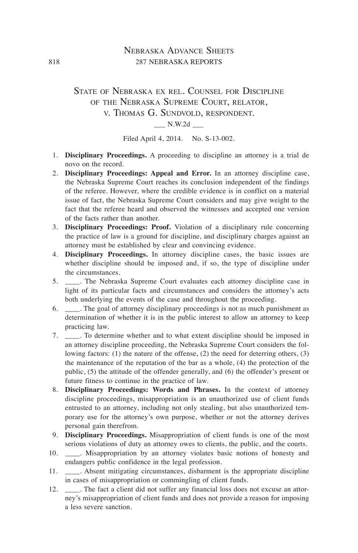# Nebraska Advance Sheets 818 287 NEBRASKA REPORTS

# State of Nebraska ex rel. Counsel for Discipline of the Nebraska Supreme Court, relator, v. Thomas G. Sundvold, respondent.

#### $N.W.2d$

Filed April 4, 2014. No. S-13-002.

- 1. **Disciplinary Proceedings.** A proceeding to discipline an attorney is a trial de novo on the record.
- 2. **Disciplinary Proceedings: Appeal and Error.** In an attorney discipline case, the Nebraska Supreme Court reaches its conclusion independent of the findings of the referee. However, where the credible evidence is in conflict on a material issue of fact, the Nebraska Supreme Court considers and may give weight to the fact that the referee heard and observed the witnesses and accepted one version of the facts rather than another.
- 3. **Disciplinary Proceedings: Proof.** Violation of a disciplinary rule concerning the practice of law is a ground for discipline, and disciplinary charges against an attorney must be established by clear and convincing evidence.
- 4. **Disciplinary Proceedings.** In attorney discipline cases, the basic issues are whether discipline should be imposed and, if so, the type of discipline under the circumstances.
- 5. \_\_\_\_. The Nebraska Supreme Court evaluates each attorney discipline case in light of its particular facts and circumstances and considers the attorney's acts both underlying the events of the case and throughout the proceeding.
- 6. \_\_\_\_. The goal of attorney disciplinary proceedings is not as much punishment as determination of whether it is in the public interest to allow an attorney to keep practicing law.
- 7. \_\_\_\_. To determine whether and to what extent discipline should be imposed in an attorney discipline proceeding, the Nebraska Supreme Court considers the following factors: (1) the nature of the offense, (2) the need for deterring others, (3) the maintenance of the reputation of the bar as a whole, (4) the protection of the public, (5) the attitude of the offender generally, and (6) the offender's present or future fitness to continue in the practice of law.
- 8. **Disciplinary Proceedings: Words and Phrases.** In the context of attorney discipline proceedings, misappropriation is an unauthorized use of client funds entrusted to an attorney, including not only stealing, but also unauthorized temporary use for the attorney's own purpose, whether or not the attorney derives personal gain therefrom.
- 9. **Disciplinary Proceedings.** Misappropriation of client funds is one of the most serious violations of duty an attorney owes to clients, the public, and the courts.
- 10. \_\_\_\_. Misappropriation by an attorney violates basic notions of honesty and endangers public confidence in the legal profession.
- 11. \_\_\_\_. Absent mitigating circumstances, disbarment is the appropriate discipline in cases of misappropriation or commingling of client funds.
- 12. \_\_\_\_. The fact a client did not suffer any financial loss does not excuse an attorney's misappropriation of client funds and does not provide a reason for imposing a less severe sanction.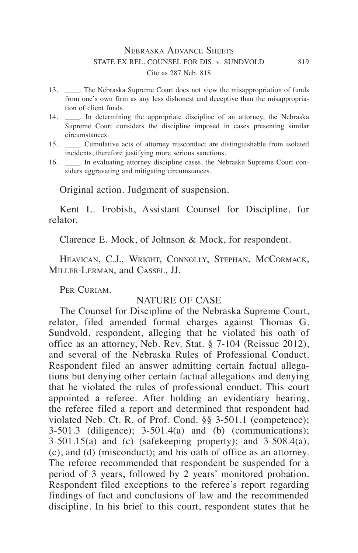## Nebraska Advance Sheets STATE EX REL. COUNSEL FOR DIS. v. SUNDVOLD 819 Cite as 287 Neb. 818

- 13. \_\_\_\_. The Nebraska Supreme Court does not view the misappropriation of funds from one's own firm as any less dishonest and deceptive than the misappropriation of client funds.
- 14. \_\_\_\_. In determining the appropriate discipline of an attorney, the Nebraska Supreme Court considers the discipline imposed in cases presenting similar circumstances.
- 15. \_\_\_\_. Cumulative acts of attorney misconduct are distinguishable from isolated incidents, therefore justifying more serious sanctions.
- 16. \_\_\_\_. In evaluating attorney discipline cases, the Nebraska Supreme Court considers aggravating and mitigating circumstances.

Original action. Judgment of suspension.

Kent L. Frobish, Assistant Counsel for Discipline, for relator.

Clarence E. Mock, of Johnson & Mock, for respondent.

HEAVICAN, C.J., WRIGHT, CONNOLLY, STEPHAN, MCCORMACK, Miller-Lerman, and Cassel, JJ.

PER CURIAM.

# NATURE OF CASE

The Counsel for Discipline of the Nebraska Supreme Court, relator, filed amended formal charges against Thomas G. Sundvold, respondent, alleging that he violated his oath of office as an attorney, Neb. Rev. Stat. § 7-104 (Reissue 2012), and several of the Nebraska Rules of Professional Conduct. Respondent filed an answer admitting certain factual allegations but denying other certain factual allegations and denying that he violated the rules of professional conduct. This court appointed a referee. After holding an evidentiary hearing, the referee filed a report and determined that respondent had violated Neb. Ct. R. of Prof. Cond. §§ 3-501.1 (competence); 3-501.3 (diligence); 3-501.4(a) and (b) (communications); 3-501.15(a) and (c) (safekeeping property); and 3-508.4(a), (c), and (d) (misconduct); and his oath of office as an attorney. The referee recommended that respondent be suspended for a period of 3 years, followed by 2 years' monitored probation. Respondent filed exceptions to the referee's report regarding findings of fact and conclusions of law and the recommended discipline. In his brief to this court, respondent states that he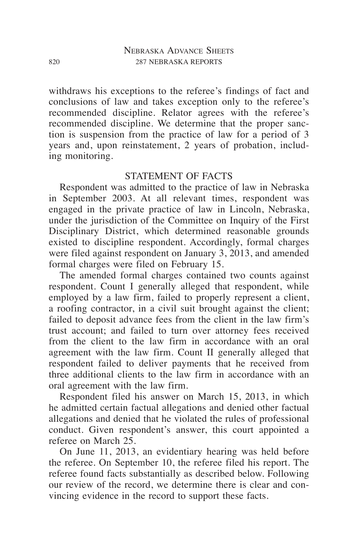withdraws his exceptions to the referee's findings of fact and conclusions of law and takes exception only to the referee's recommended discipline. Relator agrees with the referee's recommended discipline. We determine that the proper sanction is suspension from the practice of law for a period of 3 years and, upon reinstatement, 2 years of probation, including monitoring.

# STATEMENT OF FACTS

Respondent was admitted to the practice of law in Nebraska in September 2003. At all relevant times, respondent was engaged in the private practice of law in Lincoln, Nebraska, under the jurisdiction of the Committee on Inquiry of the First Disciplinary District, which determined reasonable grounds existed to discipline respondent. Accordingly, formal charges were filed against respondent on January 3, 2013, and amended formal charges were filed on February 15.

The amended formal charges contained two counts against respondent. Count I generally alleged that respondent, while employed by a law firm, failed to properly represent a client, a roofing contractor, in a civil suit brought against the client; failed to deposit advance fees from the client in the law firm's trust account; and failed to turn over attorney fees received from the client to the law firm in accordance with an oral agreement with the law firm. Count II generally alleged that respondent failed to deliver payments that he received from three additional clients to the law firm in accordance with an oral agreement with the law firm.

Respondent filed his answer on March 15, 2013, in which he admitted certain factual allegations and denied other factual allegations and denied that he violated the rules of professional conduct. Given respondent's answer, this court appointed a referee on March 25.

On June 11, 2013, an evidentiary hearing was held before the referee. On September 10, the referee filed his report. The referee found facts substantially as described below. Following our review of the record, we determine there is clear and convincing evidence in the record to support these facts.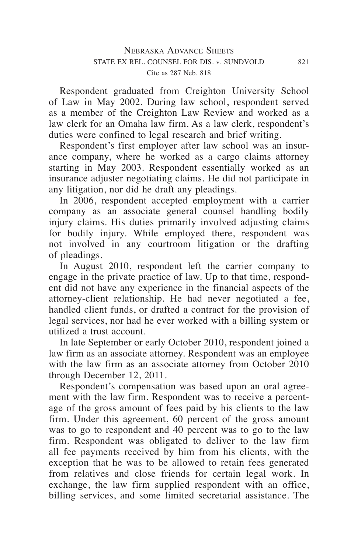Respondent graduated from Creighton University School of Law in May 2002. During law school, respondent served as a member of the Creighton Law Review and worked as a law clerk for an Omaha law firm. As a law clerk, respondent's duties were confined to legal research and brief writing.

Respondent's first employer after law school was an insurance company, where he worked as a cargo claims attorney starting in May 2003. Respondent essentially worked as an insurance adjuster negotiating claims. He did not participate in any litigation, nor did he draft any pleadings.

In 2006, respondent accepted employment with a carrier company as an associate general counsel handling bodily injury claims. His duties primarily involved adjusting claims for bodily injury. While employed there, respondent was not involved in any courtroom litigation or the drafting of pleadings.

In August 2010, respondent left the carrier company to engage in the private practice of law. Up to that time, respondent did not have any experience in the financial aspects of the attorney-client relationship. He had never negotiated a fee, handled client funds, or drafted a contract for the provision of legal services, nor had he ever worked with a billing system or utilized a trust account.

In late September or early October 2010, respondent joined a law firm as an associate attorney. Respondent was an employee with the law firm as an associate attorney from October 2010 through December 12, 2011.

Respondent's compensation was based upon an oral agreement with the law firm. Respondent was to receive a percentage of the gross amount of fees paid by his clients to the law firm. Under this agreement, 60 percent of the gross amount was to go to respondent and 40 percent was to go to the law firm. Respondent was obligated to deliver to the law firm all fee payments received by him from his clients, with the exception that he was to be allowed to retain fees generated from relatives and close friends for certain legal work. In exchange, the law firm supplied respondent with an office, billing services, and some limited secretarial assistance. The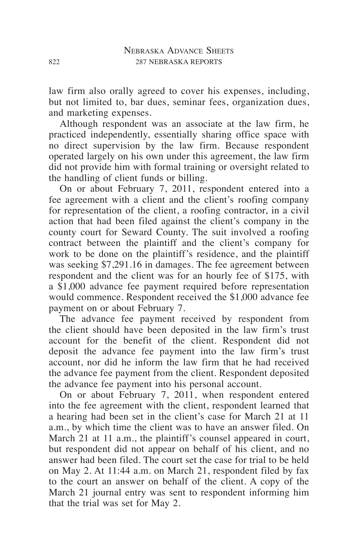law firm also orally agreed to cover his expenses, including, but not limited to, bar dues, seminar fees, organization dues, and marketing expenses.

Although respondent was an associate at the law firm, he practiced independently, essentially sharing office space with no direct supervision by the law firm. Because respondent operated largely on his own under this agreement, the law firm did not provide him with formal training or oversight related to the handling of client funds or billing.

On or about February 7, 2011, respondent entered into a fee agreement with a client and the client's roofing company for representation of the client, a roofing contractor, in a civil action that had been filed against the client's company in the county court for Seward County. The suit involved a roofing contract between the plaintiff and the client's company for work to be done on the plaintiff's residence, and the plaintiff was seeking \$7,291.16 in damages. The fee agreement between respondent and the client was for an hourly fee of \$175, with a \$1,000 advance fee payment required before representation would commence. Respondent received the \$1,000 advance fee payment on or about February 7.

The advance fee payment received by respondent from the client should have been deposited in the law firm's trust account for the benefit of the client. Respondent did not deposit the advance fee payment into the law firm's trust account, nor did he inform the law firm that he had received the advance fee payment from the client. Respondent deposited the advance fee payment into his personal account.

On or about February 7, 2011, when respondent entered into the fee agreement with the client, respondent learned that a hearing had been set in the client's case for March 21 at 11 a.m., by which time the client was to have an answer filed. On March 21 at 11 a.m., the plaintiff's counsel appeared in court, but respondent did not appear on behalf of his client, and no answer had been filed. The court set the case for trial to be held on May 2. At 11:44 a.m. on March 21, respondent filed by fax to the court an answer on behalf of the client. A copy of the March 21 journal entry was sent to respondent informing him that the trial was set for May 2.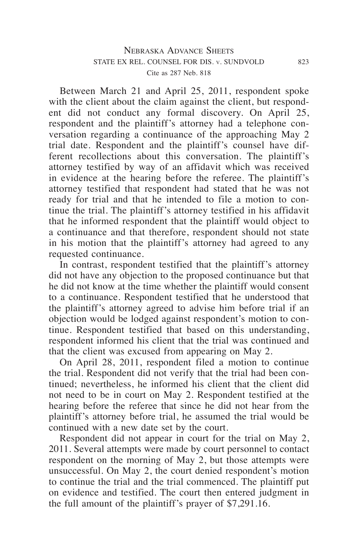Between March 21 and April 25, 2011, respondent spoke with the client about the claim against the client, but respondent did not conduct any formal discovery. On April 25, respondent and the plaintiff's attorney had a telephone conversation regarding a continuance of the approaching May 2 trial date. Respondent and the plaintiff's counsel have different recollections about this conversation. The plaintiff's attorney testified by way of an affidavit which was received in evidence at the hearing before the referee. The plaintiff's attorney testified that respondent had stated that he was not ready for trial and that he intended to file a motion to continue the trial. The plaintiff's attorney testified in his affidavit that he informed respondent that the plaintiff would object to a continuance and that therefore, respondent should not state in his motion that the plaintiff's attorney had agreed to any requested continuance.

In contrast, respondent testified that the plaintiff's attorney did not have any objection to the proposed continuance but that he did not know at the time whether the plaintiff would consent to a continuance. Respondent testified that he understood that the plaintiff's attorney agreed to advise him before trial if an objection would be lodged against respondent's motion to continue. Respondent testified that based on this understanding, respondent informed his client that the trial was continued and that the client was excused from appearing on May 2.

On April 28, 2011, respondent filed a motion to continue the trial. Respondent did not verify that the trial had been continued; nevertheless, he informed his client that the client did not need to be in court on May 2. Respondent testified at the hearing before the referee that since he did not hear from the plaintiff's attorney before trial, he assumed the trial would be continued with a new date set by the court.

Respondent did not appear in court for the trial on May 2, 2011. Several attempts were made by court personnel to contact respondent on the morning of May 2, but those attempts were unsuccessful. On May 2, the court denied respondent's motion to continue the trial and the trial commenced. The plaintiff put on evidence and testified. The court then entered judgment in the full amount of the plaintiff's prayer of \$7,291.16.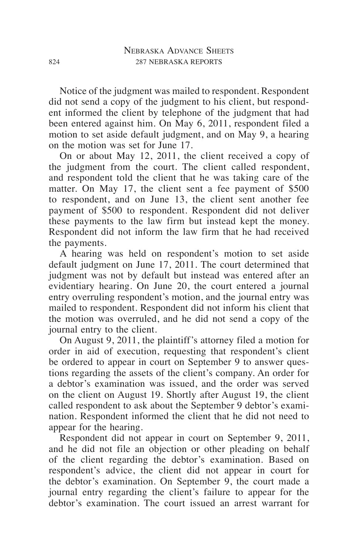Notice of the judgment was mailed to respondent. Respondent did not send a copy of the judgment to his client, but respondent informed the client by telephone of the judgment that had been entered against him. On May 6, 2011, respondent filed a motion to set aside default judgment, and on May 9, a hearing on the motion was set for June 17.

On or about May 12, 2011, the client received a copy of the judgment from the court. The client called respondent, and respondent told the client that he was taking care of the matter. On May 17, the client sent a fee payment of \$500 to respondent, and on June 13, the client sent another fee payment of \$500 to respondent. Respondent did not deliver these payments to the law firm but instead kept the money. Respondent did not inform the law firm that he had received the payments.

A hearing was held on respondent's motion to set aside default judgment on June 17, 2011. The court determined that judgment was not by default but instead was entered after an evidentiary hearing. On June 20, the court entered a journal entry overruling respondent's motion, and the journal entry was mailed to respondent. Respondent did not inform his client that the motion was overruled, and he did not send a copy of the journal entry to the client.

On August 9, 2011, the plaintiff's attorney filed a motion for order in aid of execution, requesting that respondent's client be ordered to appear in court on September 9 to answer questions regarding the assets of the client's company. An order for a debtor's examination was issued, and the order was served on the client on August 19. Shortly after August 19, the client called respondent to ask about the September 9 debtor's examination. Respondent informed the client that he did not need to appear for the hearing.

Respondent did not appear in court on September 9, 2011, and he did not file an objection or other pleading on behalf of the client regarding the debtor's examination. Based on respondent's advice, the client did not appear in court for the debtor's examination. On September 9, the court made a journal entry regarding the client's failure to appear for the debtor's examination. The court issued an arrest warrant for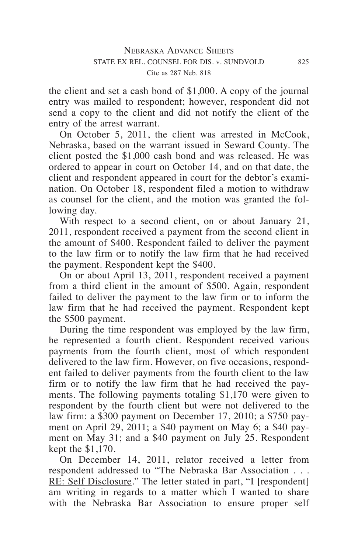the client and set a cash bond of \$1,000. A copy of the journal entry was mailed to respondent; however, respondent did not send a copy to the client and did not notify the client of the entry of the arrest warrant.

On October 5, 2011, the client was arrested in McCook, Nebraska, based on the warrant issued in Seward County. The client posted the \$1,000 cash bond and was released. He was ordered to appear in court on October 14, and on that date, the client and respondent appeared in court for the debtor's examination. On October 18, respondent filed a motion to withdraw as counsel for the client, and the motion was granted the following day.

With respect to a second client, on or about January 21, 2011, respondent received a payment from the second client in the amount of \$400. Respondent failed to deliver the payment to the law firm or to notify the law firm that he had received the payment. Respondent kept the \$400.

On or about April 13, 2011, respondent received a payment from a third client in the amount of \$500. Again, respondent failed to deliver the payment to the law firm or to inform the law firm that he had received the payment. Respondent kept the \$500 payment.

During the time respondent was employed by the law firm, he represented a fourth client. Respondent received various payments from the fourth client, most of which respondent delivered to the law firm. However, on five occasions, respondent failed to deliver payments from the fourth client to the law firm or to notify the law firm that he had received the payments. The following payments totaling \$1,170 were given to respondent by the fourth client but were not delivered to the law firm: a \$300 payment on December 17, 2010; a \$750 payment on April 29, 2011; a \$40 payment on May 6; a \$40 payment on May 31; and a \$40 payment on July 25. Respondent kept the \$1,170.

On December 14, 2011, relator received a letter from respondent addressed to "The Nebraska Bar Association . . . RE: Self Disclosure." The letter stated in part, "I [respondent] am writing in regards to a matter which I wanted to share with the Nebraska Bar Association to ensure proper self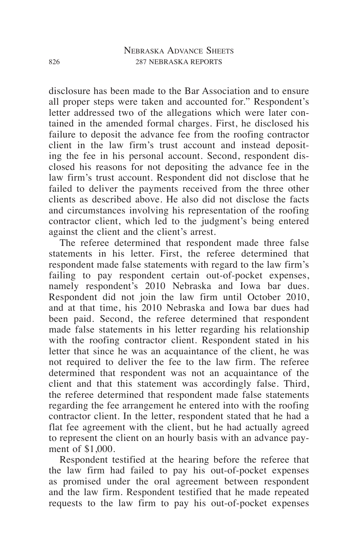disclosure has been made to the Bar Association and to ensure all proper steps were taken and accounted for." Respondent's letter addressed two of the allegations which were later contained in the amended formal charges. First, he disclosed his failure to deposit the advance fee from the roofing contractor client in the law firm's trust account and instead depositing the fee in his personal account. Second, respondent disclosed his reasons for not depositing the advance fee in the law firm's trust account. Respondent did not disclose that he failed to deliver the payments received from the three other clients as described above. He also did not disclose the facts and circumstances involving his representation of the roofing contractor client, which led to the judgment's being entered against the client and the client's arrest.

The referee determined that respondent made three false statements in his letter. First, the referee determined that respondent made false statements with regard to the law firm's failing to pay respondent certain out-of-pocket expenses, namely respondent's 2010 Nebraska and Iowa bar dues. Respondent did not join the law firm until October 2010, and at that time, his 2010 Nebraska and Iowa bar dues had been paid. Second, the referee determined that respondent made false statements in his letter regarding his relationship with the roofing contractor client. Respondent stated in his letter that since he was an acquaintance of the client, he was not required to deliver the fee to the law firm. The referee determined that respondent was not an acquaintance of the client and that this statement was accordingly false. Third, the referee determined that respondent made false statements regarding the fee arrangement he entered into with the roofing contractor client. In the letter, respondent stated that he had a flat fee agreement with the client, but he had actually agreed to represent the client on an hourly basis with an advance payment of \$1,000.

Respondent testified at the hearing before the referee that the law firm had failed to pay his out-of-pocket expenses as promised under the oral agreement between respondent and the law firm. Respondent testified that he made repeated requests to the law firm to pay his out-of-pocket expenses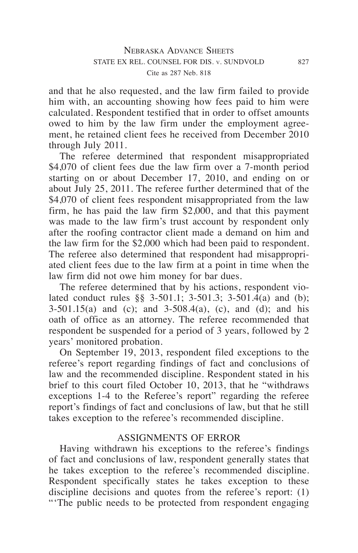and that he also requested, and the law firm failed to provide him with, an accounting showing how fees paid to him were calculated. Respondent testified that in order to offset amounts owed to him by the law firm under the employment agreement, he retained client fees he received from December 2010 through July 2011.

The referee determined that respondent misappropriated \$4,070 of client fees due the law firm over a 7-month period starting on or about December 17, 2010, and ending on or about July 25, 2011. The referee further determined that of the \$4,070 of client fees respondent misappropriated from the law firm, he has paid the law firm \$2,000, and that this payment was made to the law firm's trust account by respondent only after the roofing contractor client made a demand on him and the law firm for the \$2,000 which had been paid to respondent. The referee also determined that respondent had misappropriated client fees due to the law firm at a point in time when the law firm did not owe him money for bar dues.

The referee determined that by his actions, respondent violated conduct rules §§ 3-501.1; 3-501.3; 3-501.4(a) and (b); 3-501.15(a) and (c); and 3-508.4(a), (c), and (d); and his oath of office as an attorney. The referee recommended that respondent be suspended for a period of 3 years, followed by 2 years' monitored probation.

On September 19, 2013, respondent filed exceptions to the referee's report regarding findings of fact and conclusions of law and the recommended discipline. Respondent stated in his brief to this court filed October 10, 2013, that he "withdraws exceptions 1-4 to the Referee's report" regarding the referee report's findings of fact and conclusions of law, but that he still takes exception to the referee's recommended discipline.

### ASSIGNMENTS OF ERROR

Having withdrawn his exceptions to the referee's findings of fact and conclusions of law, respondent generally states that he takes exception to the referee's recommended discipline. Respondent specifically states he takes exception to these discipline decisions and quotes from the referee's report: (1) "'The public needs to be protected from respondent engaging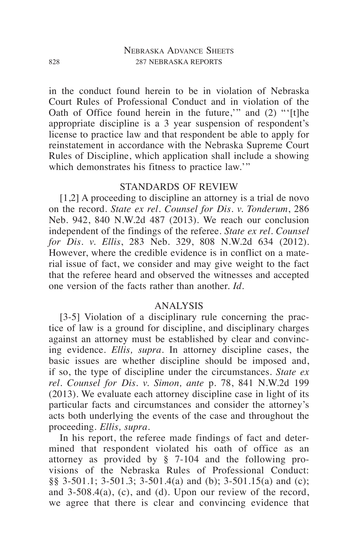in the conduct found herein to be in violation of Nebraska Court Rules of Professional Conduct and in violation of the Oath of Office found herein in the future,'" and (2) "'[t]he appropriate discipline is a 3 year suspension of respondent's license to practice law and that respondent be able to apply for reinstatement in accordance with the Nebraska Supreme Court Rules of Discipline, which application shall include a showing which demonstrates his fitness to practice law."

# STANDARDS OF REVIEW

[1,2] A proceeding to discipline an attorney is a trial de novo on the record. *State ex rel. Counsel for Dis. v. Tonderum*, 286 Neb. 942, 840 N.W.2d 487 (2013). We reach our conclusion independent of the findings of the referee. *State ex rel. Counsel for Dis. v. Ellis*, 283 Neb. 329, 808 N.W.2d 634 (2012). However, where the credible evidence is in conflict on a material issue of fact, we consider and may give weight to the fact that the referee heard and observed the witnesses and accepted one version of the facts rather than another. *Id*.

### ANALYSIS

[3-5] Violation of a disciplinary rule concerning the practice of law is a ground for discipline, and disciplinary charges against an attorney must be established by clear and convincing evidence. *Ellis, supra*. In attorney discipline cases, the basic issues are whether discipline should be imposed and, if so, the type of discipline under the circumstances. *State ex rel. Counsel for Dis. v. Simon, ante* p. 78, 841 N.W.2d 199 (2013). We evaluate each attorney discipline case in light of its particular facts and circumstances and consider the attorney's acts both underlying the events of the case and throughout the proceeding. *Ellis, supra*.

In his report, the referee made findings of fact and determined that respondent violated his oath of office as an attorney as provided by § 7-104 and the following provisions of the Nebraska Rules of Professional Conduct: §§ 3-501.1; 3-501.3; 3-501.4(a) and (b); 3-501.15(a) and (c); and 3-508.4(a), (c), and (d). Upon our review of the record, we agree that there is clear and convincing evidence that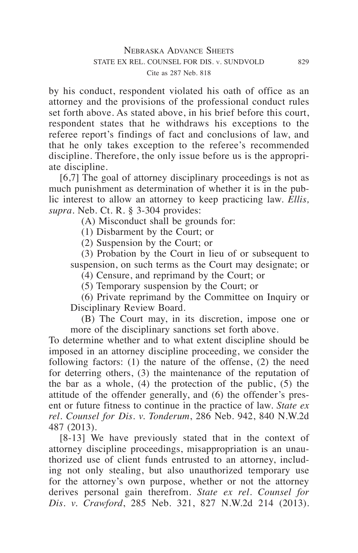by his conduct, respondent violated his oath of office as an attorney and the provisions of the professional conduct rules set forth above. As stated above, in his brief before this court, respondent states that he withdraws his exceptions to the referee report's findings of fact and conclusions of law, and that he only takes exception to the referee's recommended discipline. Therefore, the only issue before us is the appropriate discipline.

[6,7] The goal of attorney disciplinary proceedings is not as much punishment as determination of whether it is in the public interest to allow an attorney to keep practicing law. *Ellis, supra*. Neb. Ct. R. § 3-304 provides:

(A) Misconduct shall be grounds for:

(1) Disbarment by the Court; or

(2) Suspension by the Court; or

(3) Probation by the Court in lieu of or subsequent to suspension, on such terms as the Court may designate; or

(4) Censure, and reprimand by the Court; or

(5) Temporary suspension by the Court; or

(6) Private reprimand by the Committee on Inquiry or Disciplinary Review Board.

(B) The Court may, in its discretion, impose one or more of the disciplinary sanctions set forth above.

To determine whether and to what extent discipline should be imposed in an attorney discipline proceeding, we consider the following factors: (1) the nature of the offense, (2) the need for deterring others, (3) the maintenance of the reputation of the bar as a whole,  $(4)$  the protection of the public,  $(5)$  the attitude of the offender generally, and (6) the offender's present or future fitness to continue in the practice of law. *State ex rel. Counsel for Dis. v. Tonderum*, 286 Neb. 942, 840 N.W.2d 487 (2013).

[8-13] We have previously stated that in the context of attorney discipline proceedings, misappropriation is an unauthorized use of client funds entrusted to an attorney, including not only stealing, but also unauthorized temporary use for the attorney's own purpose, whether or not the attorney derives personal gain therefrom. *State ex rel. Counsel for Dis. v. Crawford*, 285 Neb. 321, 827 N.W.2d 214 (2013).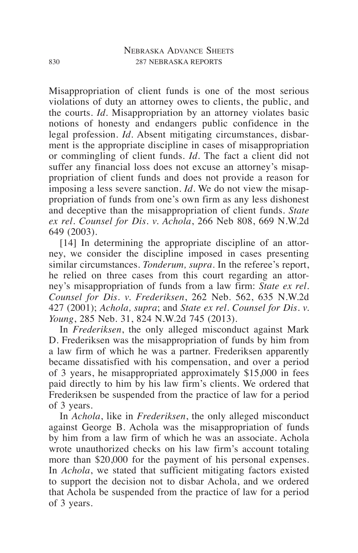Misappropriation of client funds is one of the most serious violations of duty an attorney owes to clients, the public, and the courts. *Id*. Misappropriation by an attorney violates basic notions of honesty and endangers public confidence in the legal profession. *Id*. Absent mitigating circumstances, disbarment is the appropriate discipline in cases of misappropriation or commingling of client funds. *Id*. The fact a client did not suffer any financial loss does not excuse an attorney's misappropriation of client funds and does not provide a reason for imposing a less severe sanction. *Id*. We do not view the misappropriation of funds from one's own firm as any less dishonest and deceptive than the misappropriation of client funds. *State ex rel. Counsel for Dis. v. Achola*, 266 Neb 808, 669 N.W.2d 649 (2003).

[14] In determining the appropriate discipline of an attorney, we consider the discipline imposed in cases presenting similar circumstances. *Tonderum, supra*. In the referee's report, he relied on three cases from this court regarding an attorney's misappropriation of funds from a law firm: *State ex rel. Counsel for Dis. v. Frederiksen*, 262 Neb. 562, 635 N.W.2d 427 (2001); *Achola, supra*; and *State ex rel. Counsel for Dis. v. Young*, 285 Neb. 31, 824 N.W.2d 745 (2013).

In *Frederiksen*, the only alleged misconduct against Mark D. Frederiksen was the misappropriation of funds by him from a law firm of which he was a partner. Frederiksen apparently became dissatisfied with his compensation, and over a period of 3 years, he misappropriated approximately \$15,000 in fees paid directly to him by his law firm's clients. We ordered that Frederiksen be suspended from the practice of law for a period of 3 years.

In *Achola*, like in *Frederiksen*, the only alleged misconduct against George B. Achola was the misappropriation of funds by him from a law firm of which he was an associate. Achola wrote unauthorized checks on his law firm's account totaling more than \$20,000 for the payment of his personal expenses. In *Achola*, we stated that sufficient mitigating factors existed to support the decision not to disbar Achola, and we ordered that Achola be suspended from the practice of law for a period of 3 years.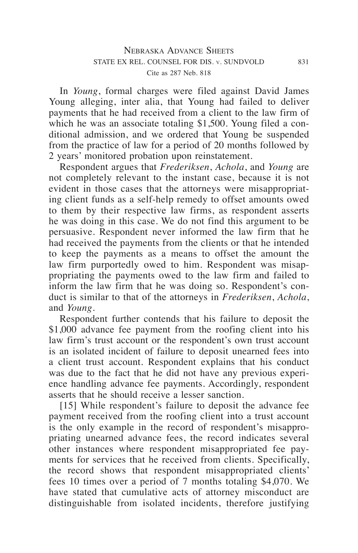In *Young*, formal charges were filed against David James Young alleging, inter alia, that Young had failed to deliver payments that he had received from a client to the law firm of which he was an associate totaling \$1,500. Young filed a conditional admission, and we ordered that Young be suspended from the practice of law for a period of 20 months followed by 2 years' monitored probation upon reinstatement.

Respondent argues that *Frederiksen*, *Achola*, and *Young* are not completely relevant to the instant case, because it is not evident in those cases that the attorneys were misappropriating client funds as a self-help remedy to offset amounts owed to them by their respective law firms, as respondent asserts he was doing in this case. We do not find this argument to be persuasive. Respondent never informed the law firm that he had received the payments from the clients or that he intended to keep the payments as a means to offset the amount the law firm purportedly owed to him. Respondent was misappropriating the payments owed to the law firm and failed to inform the law firm that he was doing so. Respondent's conduct is similar to that of the attorneys in *Frederiksen*, *Achola*, and *Young*.

Respondent further contends that his failure to deposit the \$1,000 advance fee payment from the roofing client into his law firm's trust account or the respondent's own trust account is an isolated incident of failure to deposit unearned fees into a client trust account. Respondent explains that his conduct was due to the fact that he did not have any previous experience handling advance fee payments. Accordingly, respondent asserts that he should receive a lesser sanction.

[15] While respondent's failure to deposit the advance fee payment received from the roofing client into a trust account is the only example in the record of respondent's misappropriating unearned advance fees, the record indicates several other instances where respondent misappropriated fee payments for services that he received from clients. Specifically, the record shows that respondent misappropriated clients' fees 10 times over a period of 7 months totaling \$4,070. We have stated that cumulative acts of attorney misconduct are distinguishable from isolated incidents, therefore justifying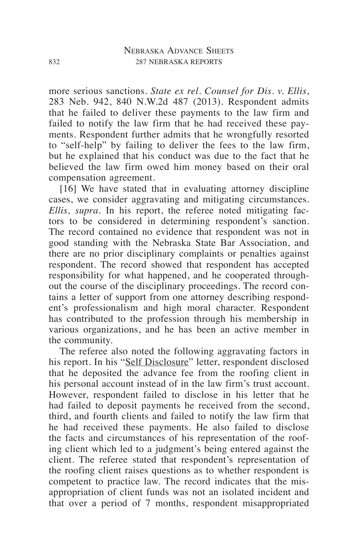more serious sanctions. *State ex rel. Counsel for Dis. v. Ellis*, 283 Neb. 942, 840 N.W.2d 487 (2013). Respondent admits that he failed to deliver these payments to the law firm and failed to notify the law firm that he had received these payments. Respondent further admits that he wrongfully resorted to "self-help" by failing to deliver the fees to the law firm, but he explained that his conduct was due to the fact that he believed the law firm owed him money based on their oral compensation agreement.

[16] We have stated that in evaluating attorney discipline cases, we consider aggravating and mitigating circumstances. *Ellis, supra*. In his report, the referee noted mitigating factors to be considered in determining respondent's sanction. The record contained no evidence that respondent was not in good standing with the Nebraska State Bar Association, and there are no prior disciplinary complaints or penalties against respondent. The record showed that respondent has accepted responsibility for what happened, and he cooperated throughout the course of the disciplinary proceedings. The record contains a letter of support from one attorney describing respondent's professionalism and high moral character. Respondent has contributed to the profession through his membership in various organizations, and he has been an active member in the community.

The referee also noted the following aggravating factors in his report. In his "Self Disclosure" letter, respondent disclosed that he deposited the advance fee from the roofing client in his personal account instead of in the law firm's trust account. However, respondent failed to disclose in his letter that he had failed to deposit payments he received from the second, third, and fourth clients and failed to notify the law firm that he had received these payments. He also failed to disclose the facts and circumstances of his representation of the roofing client which led to a judgment's being entered against the client. The referee stated that respondent's representation of the roofing client raises questions as to whether respondent is competent to practice law. The record indicates that the misappropriation of client funds was not an isolated incident and that over a period of 7 months, respondent misappropriated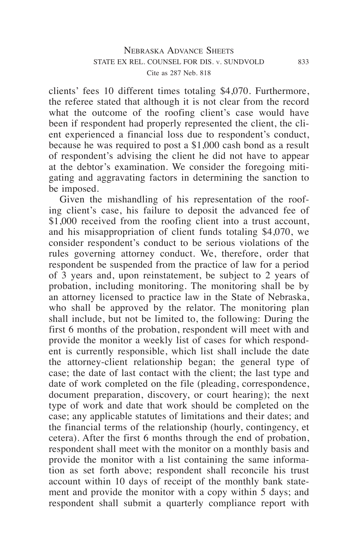clients' fees 10 different times totaling \$4,070. Furthermore, the referee stated that although it is not clear from the record what the outcome of the roofing client's case would have been if respondent had properly represented the client, the client experienced a financial loss due to respondent's conduct, because he was required to post a \$1,000 cash bond as a result of respondent's advising the client he did not have to appear at the debtor's examination. We consider the foregoing mitigating and aggravating factors in determining the sanction to be imposed.

Given the mishandling of his representation of the roofing client's case, his failure to deposit the advanced fee of \$1,000 received from the roofing client into a trust account, and his misappropriation of client funds totaling \$4,070, we consider respondent's conduct to be serious violations of the rules governing attorney conduct. We, therefore, order that respondent be suspended from the practice of law for a period of 3 years and, upon reinstatement, be subject to 2 years of probation, including monitoring. The monitoring shall be by an attorney licensed to practice law in the State of Nebraska, who shall be approved by the relator. The monitoring plan shall include, but not be limited to, the following: During the first 6 months of the probation, respondent will meet with and provide the monitor a weekly list of cases for which respondent is currently responsible, which list shall include the date the attorney-client relationship began; the general type of case; the date of last contact with the client; the last type and date of work completed on the file (pleading, correspondence, document preparation, discovery, or court hearing); the next type of work and date that work should be completed on the case; any applicable statutes of limitations and their dates; and the financial terms of the relationship (hourly, contingency, et cetera). After the first 6 months through the end of probation, respondent shall meet with the monitor on a monthly basis and provide the monitor with a list containing the same information as set forth above; respondent shall reconcile his trust account within 10 days of receipt of the monthly bank statement and provide the monitor with a copy within 5 days; and respondent shall submit a quarterly compliance report with